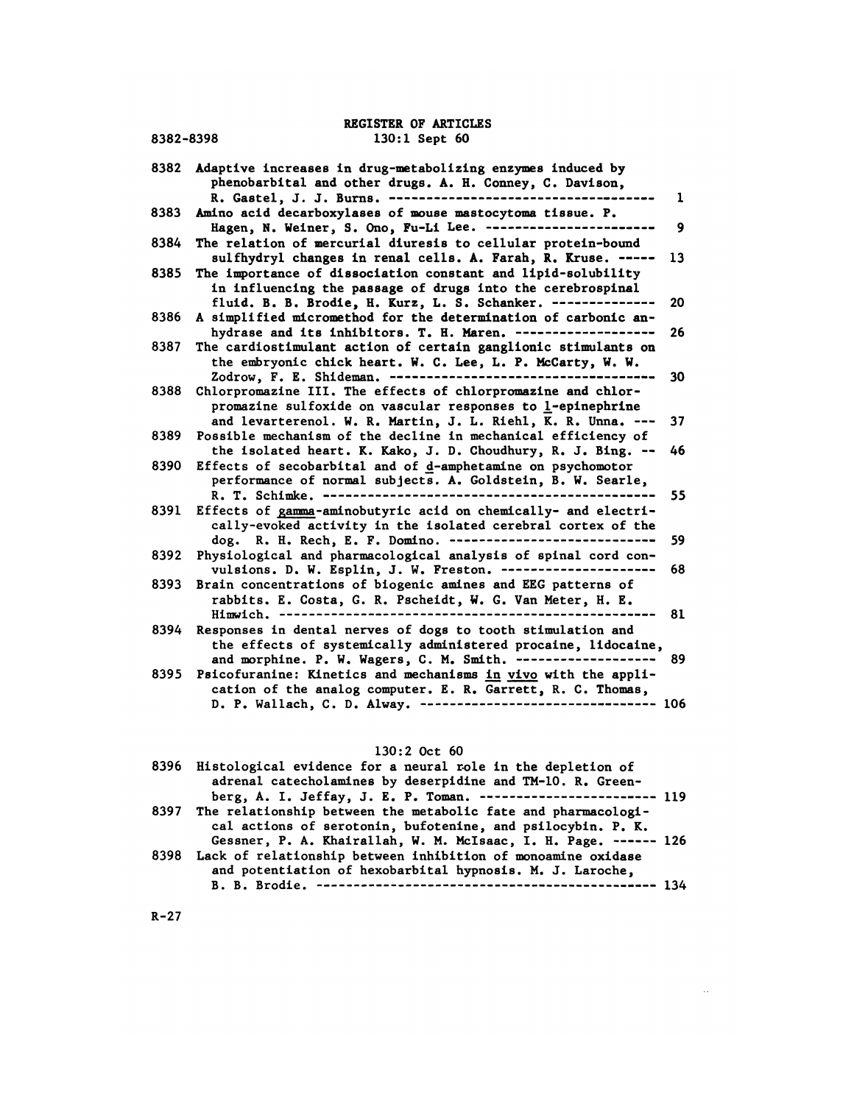### REGISTER OF ARTICLES<br>130:1 Sept 60 REGISTER OF ARTICLES<br>8382-8398 130:1 Sept 60

8382-8398 130:1 Sept 60<br>8382 Adaptive increases in drug-metabolizing enzymes induced by<br>phenobarbital and other drugs. A. H. Conney, C. Davison, phenobarbital and other drugs. A. H. Conney, C. Davison, R. Gastel, J. J. Burns. <sup>1</sup> 8383 Amino acid decarboxylases of mouse mastocytoma tissue. P. Hagen, N. Weiner, S. Ono, Pu-Li Lee. <sup>9</sup> FREE RESERVIER IN THE RESERVIER OF MANUSCRIPT ON THE RESERVIES OF MARINE RESERVIERCESS AND A SERVIER SERVIER SERVIER SERVIER SERVIER SERVIER SERVIER SERVIER SERVIER SERVIER SERVIER SURFACT THE PERCURIST OF METAL CHARGIS TO sulfhydryl changes in renal cells. A. Farah, R. Kruse. <sup>13</sup> 8384 The relation of mercurial diuresis to cellular protein-bound<br>sulfhydryl changes in renal cells. A. Farah, R. Kruse. ----<br>8385 The importance of dissociation constant and lipid-solubility in influencing the passage of drugs into the cerebrospinal e relation of mercurial diuresis to celluiar protein-bound<br>sulfhydryl changes in renal cells. A. Farah, R. Kruse. ----- 13<br>e importance of dissociation constant and lipid-solubility<br>in influencing the passage of drugs into 8385 The importance of dissociation constant and lipid-solubility<br>in influencing the passage of drugs into the cerebrospinal<br>fluid. B. B. Brodie, H. Kurz, L. S. Schanker.<br>8386 A simplified micromethod for the determination e importance or dissociation constant and lipid-solubility<br>in influencing the passage of drugs into the cerebrospinal<br>fluid. B. B. Brodie, H. Kurz, L. S. Schanker. --------------- 20<br>simplified micromethod for the determin In influencing the passage of drugs into the cerebrospinal<br>fluid. B. B. Brodie, H. Kurz, L. S. Schanker.<br>8386 A simplified micromethod for the determination of carbonic an-<br>hydrase and its inhibitors. T. H. Maren.<br>8387 The the embryonic chick heart. W. C. Lee, L. P. McCarty, W. W. simplified micromethod for the determination of carbonic an-<br>hydrase and its inhibitors. T. H. Maren. ------------------- 26<br>e cardiostimulant action of certain ganglionic stimulants on<br>the embryonic chick heart. W. C. Lee 8388 Chlorpromazine III. The effects of chlorproinazine and chlorpromazine sulfoxide on vascular responses to 1-epinephrine and levarterenol. W. R. Martin, J. L. Riehl, K. R. Unna. <sup>37</sup> Example mechanism of the decline in mechanical efficiency of<br>8389 Chlorpromazine III. The effects of chlorpromazine and chlor-<br>promazine sulfoxide on vascular responses to l-epinephrine<br>and levarterenol. W. R. Martin, J. L Iorpromazine ill. Ine effects of chiorpromazine and chior-<br>promazine sulfoxide on vascular responses to l-epinephrine<br>and levarterenol. W. R. Martin, J. L. Riehl, K. R. Unna. --- 37<br>ssible mechanism of the decline in mecha promazine surfoxide on vascular responses to  $\frac{1}{2}$ -epinephrine<br>and levarterenol. W. R. Martin, J. L. Riehl, K. R. Unna. ---<br>8389 Possible mechanism of the decline in mechanical efficiency of<br>the isolated heart. K. Kak and levarterenol. W. K. Martin, J. L. Kieni, K. K. Unna. --- 3<br>ssible mechanism of the decline in mechanical efficiency of<br>the isolated heart. K. Kako, J. D. Choudhury, R. J. Bing. -- 4<br>fects of secobarbital and of <u>d</u>-amp ssible mechanism of the decline in mechanical efficiency of<br>the isolated heart. K. Kako, J. D. Choudhury, R. J. Bing. -- 46<br>fects of secobarbital and of d-amphetamine on psychomotor<br>performance of normal subjects. A. Golds 8391 Effects of zaimna-aminobutyric acid on chemically- and electrically-evoked activity in the isolated cerebral cortex of the dog. R. H. Rech, E. F. Domino. <sup>59</sup> 8392 Physiological and pharmacological analysis of spinal cord convulsions. D. W. Esplin, J. W. Preston. <sup>68</sup> 8393 Brain concentrations of biogenic amines and EEG patterns of rabbits. E. Costa, C. R. Pommino. 2002.<br>
rabbits. D. W. Esplin, J. W. Freston. 2010.<br>
The concentrations of biogenic amines and EEG patterns of<br>
rabbits. E. Costa, G. R. Pscheidt, W. G. Van Meter, H. E.<br>
Himwich. 2022.2022 Himwich. 81 8394 Responses in dental nerves of dogs to tooth stimulation and the effects of systemically administered procaine, lidocaine, and morphine. P. W. Wagers, C. N. Smith. <sup>89</sup> 8395 Psicofuranine: Kinetics and mechanisms  $\underline{in}$  vivo with the application of the analog computer. E. R. Garrett, R. C. Thomas, cation of the analog computer. E. R. Garrett, R. C. Thomas, the errects or systemically administered procaine, lidocaine,<br>and morphine. P. W. Wagers, C. M. Smith. ------------------ 89<br>icofuranine: Kinetics and mechanisms in vivo with the appli-<br>cation of the analog computer. E. R. D. P. Wallach, C. D. Alway. ---------------------------------- 106<br>130:2 Oct 60

| ,, ., ……………, ., ., ………,                                                                                                                                                                               |  |
|-------------------------------------------------------------------------------------------------------------------------------------------------------------------------------------------------------|--|
| $130:2$ Oct 60                                                                                                                                                                                        |  |
| 8396 Histological evidence for a neural role in the depletion of<br>adrenal catecholamines by deserpidine and TM-10. R. Green-<br>berg, A. I. Jeffay, J. E. P. Toman. ------------------------ 119    |  |
| 8397 The relationship between the metabolic fate and pharmacologi-<br>cal actions of serotonin, bufotenine, and psilocybin. P. K.<br>Gessner, P. A. Khairallah, W. M. McIsaac, I. H. Page. ------ 126 |  |
| 8398 Lack of relationship between inhibition of monoamine oxidase<br>and potentiation of hexobarbital hypnosis. M. J. Laroche,                                                                        |  |
|                                                                                                                                                                                                       |  |

R-27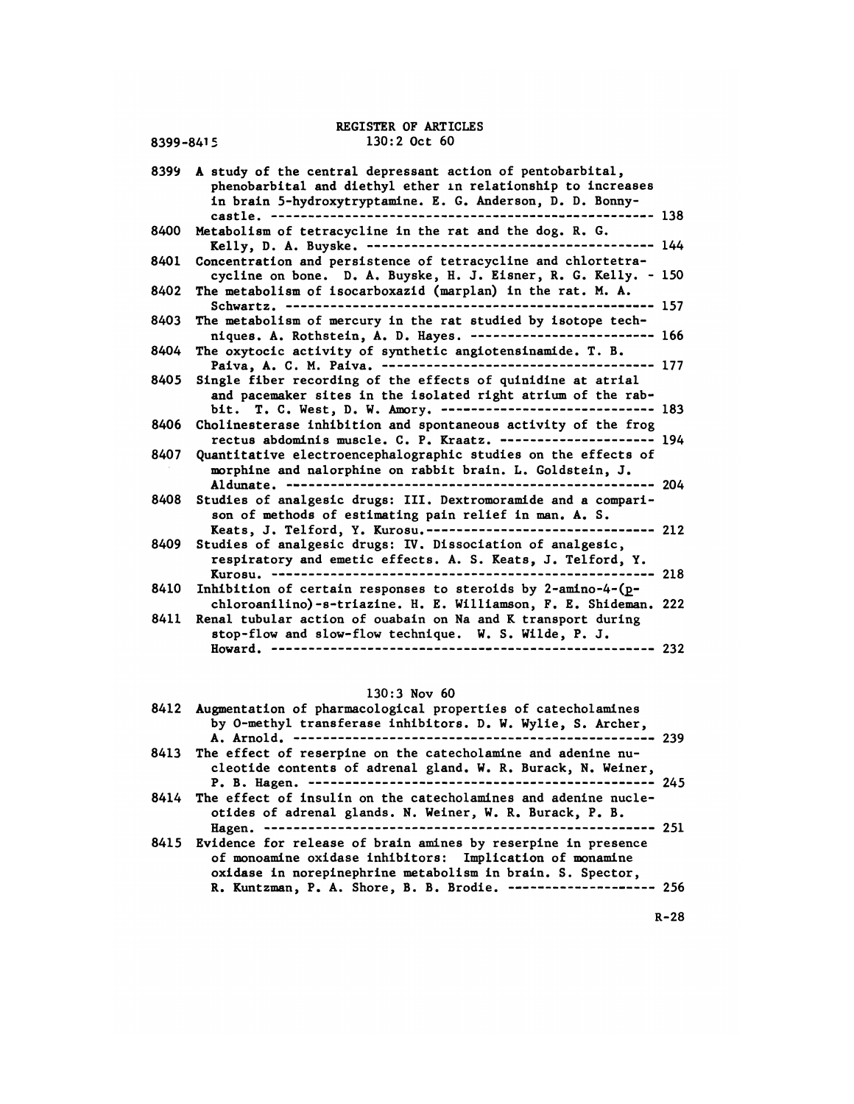| 8399-8415 | REGISTER OF ARTICLES<br>$130:2$ Oct $60$                                                                                                                                                                                                               |
|-----------|--------------------------------------------------------------------------------------------------------------------------------------------------------------------------------------------------------------------------------------------------------|
| 8399      | A study of the central depressant action of pentobarbital,<br>phenobarbital and diethyl ether in relationship to increases<br>in brain 5-hydroxytryptamine. E. G. Anderson, D. D. Bonny-<br>---- 138                                                   |
| 8400      | Metabolism of tetracycline in the rat and the dog. R. G.                                                                                                                                                                                               |
| 8401      | Concentration and persistence of tetracycline and chlortetra-<br>cycline on bone. D. A. Buyske, H. J. Eisner, R. G. Kelly. - 150                                                                                                                       |
| 8402      | The metabolism of isocarboxazid (marplan) in the rat. M. A.<br>Schwartz. --------------<br>------------------ 157                                                                                                                                      |
| 8403      | The metabolism of mercury in the rat studied by isotope tech-<br>niques. A. Rothstein, A. D. Hayes. ------------------------- 166                                                                                                                      |
| 8404      | The oxytocic activity of synthetic angiotensinamide. T. B.<br>Paiva, A. C. M. Paiva. ------------------------<br>----- 177                                                                                                                             |
| 8405      | Single fiber recording of the effects of quinidine at atrial<br>and pacemaker sites in the isolated right atrium of the rab-<br>bit. T. C. West, D. W. Amory. ------------------------------ 183                                                       |
| 8406      | Cholinesterase inhibition and spontaneous activity of the frog<br>rectus abdominis muscle. C. P. Kraatz. --------------------- 194                                                                                                                     |
| 8407      | Quantitative electroencephalographic studies on the effects of<br>morphine and nalorphine on rabbit brain. L. Goldstein, J.                                                                                                                            |
| 8408      | Studies of analgesic drugs: III. Dextromoramide and a compari-<br>son of methods of estimating pain relief in man. A. S.                                                                                                                               |
| 8409      | Keats, J. Telford, Y. Kurosu.------------------------------- 212<br>Studies of analgesic drugs: IV. Dissociation of analgesic,<br>respiratory and emetic effects. A. S. Keats, J. Telford, Y.<br>Kurosu. -----------------------------------<br>-- 218 |
| 8410      | Inhibition of certain responses to steroids by 2-amino-4-(p-<br>chloroanilino)-s-triazine. H. E. Williamson, F. E. Shideman. 222                                                                                                                       |
| 8411      | Renal tubular action of ouabain on Na and K transport during<br>stop-flow and slow-flow technique. W. S. Wilde, P. J.<br>$--- 232$                                                                                                                     |
|           | $130:3$ Nov 60                                                                                                                                                                                                                                         |
| 8412      | Augmentation of pharmacological properties of catecholamines                                                                                                                                                                                           |

| nowalu.<br><sub><i>L</i>j<i>l</i></sub>                                                                                                                                                      |      |
|----------------------------------------------------------------------------------------------------------------------------------------------------------------------------------------------|------|
| $130:3$ Nov 60                                                                                                                                                                               |      |
| 8412 Augmentation of pharmacological properties of catecholamines<br>by O-methyl transferase inhibitors. D. W. Wylie, S. Archer,                                                             |      |
| 8413 The effect of reserpine on the catecholamine and adenine nu-<br>cleotide contents of adrenal gland. W. R. Burack, N. Weiner,                                                            | -245 |
| 8414 The effect of insulin on the catecholamines and adenine nucle-<br>otides of adrenal glands. N. Weiner, W. R. Burack, P. B.                                                              |      |
| 8415 Evidence for release of brain amines by reserpine in presence<br>of monoamine oxidase inhibitors: Implication of monamine<br>oxidase in norepinephrine metabolism in brain. S. Spector, |      |
| R. Kuntzman, P. A. Shore, B. B. Brodie. -------------------- 256                                                                                                                             |      |

R-28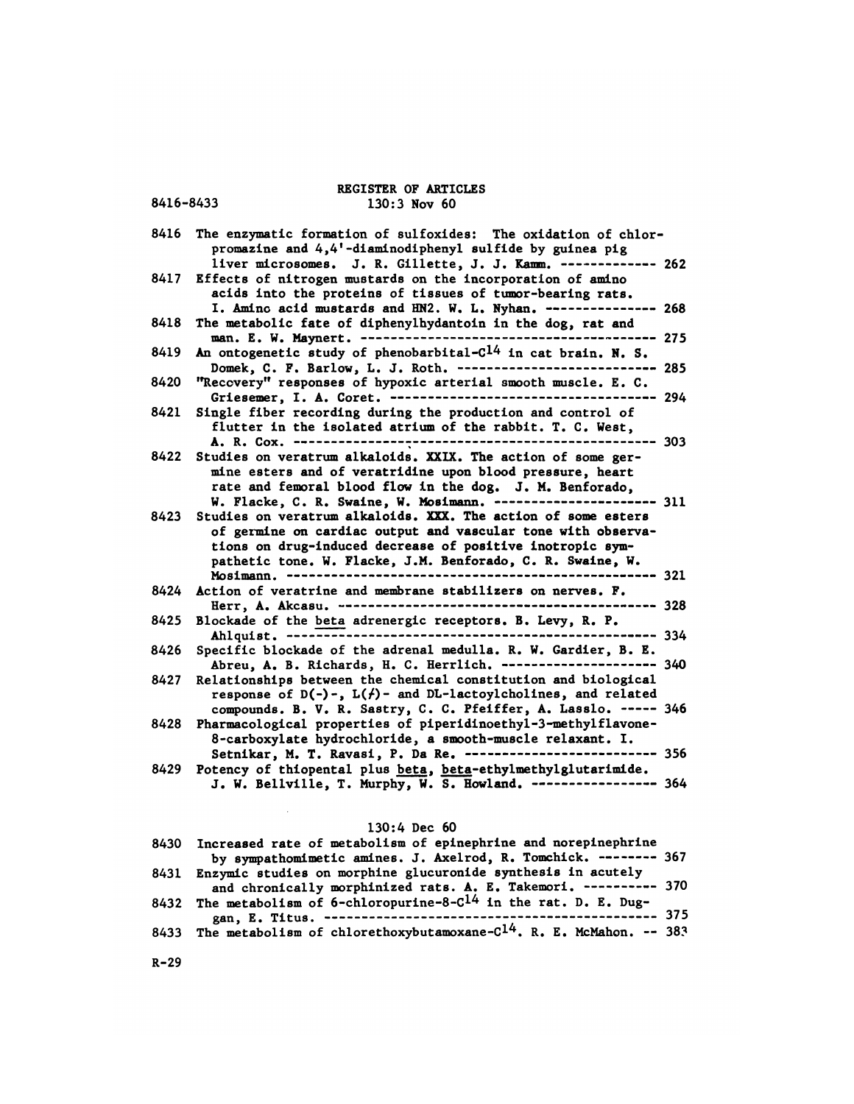# REGISTER OF ARTICLES<br>130:3 Nov 60 REGISTER OF ARTICLES<br>8416-8433 130:3 Nov 60

REGISTER OF ARTICLES<br>8416-8433 130:3 Nov 60<br>8416 The enzymatic formation of sulfoxides: The oxidation of chlor-<br>promazine and 4,4'-diaminodiphenyl sulfide by guinea pig REGISTER OF ARTICLES<br>
130:3 Nov 60<br>
e enzymatic formation of sulfoxides: The oxidation of chlor-<br>
promazine and 4,4'-diaminodiphenyl sulfide by guinea pig<br>
liver microsomes. J. R. Gillette, J. J. Kamm. ------------- 2 130:3 Nov 60<br>e enzymatic formation of sulfoxides: The oxidation of chlor-<br>promazine and 4,4'-diaminodiphenyl sulfide by guinea pig<br>liver microsomes. J. R. Gillette, J. J. Kamm. ------------- 262<br>fects of nitrogen mustards 8416 The enzymatic formation of sulfoxides: The oxidation of chlor-<br>promazine and 4,4'-diaminodiphenyl sulfide by guinea pig<br>liver microsomes. J. R. Gillette, J. J. Kamm. --------------<br>8417 Effects of nitrogen mustards on e enzymatic formation of sulfoxides: The oxidation of chlor-<br>promazine and 4,4'-diaminodiphenyl sulfide by guinea pig<br>liver microsomes. J. R. Gillette, J. J. Kamm. ------------- 20<br>fects of nitrogen mustards on the incorpo promazine and 4,4'-diaminodiphenyl sulfide by guinea pig<br>liver microsomes. J. R. Gillette, J. J. Kamm. ------------ 262<br>fects of nitrogen mustards on the incorporation of amino<br>acids into the proteins of tissues of tumor-b 1iver microsomes. J. R. Gillette, J. J. Kamm. ------------ 26<br>8417 Effects of nitrogen mustards on the incorporation of amino<br>acids into the proteins of tissues of tumor-bearing rats.<br>I. Amino acid mustards and HN2. W. L. fects of nitrogen mustards on the incorporation of amino<br>acids into the proteins of tissues of tumor-bearing rats.<br>I. Amino acid mustards and HN2. W. L. Nyhan. --------------- 268<br>e metabolic fate of diphenylhydantoin in acids into the proteins of tissues of tumor-bearing rats.<br>
I. Amino acid mustards and HN2. W. L. Nyhan. --------------- 268<br>
8418 The metabolic fate of diphenylhydantoin in the dog, rat and<br>
man. E. W. Maynert. -----------Domek, C. F. Barlow, L. J. Roth. <sup>285</sup> 8420 "Recovery" responses of hypoxic arterial smooth muscle. E. C. Griesemer, I. A. Coret. <sup>294</sup> 8421 Single fiber recording during the production and control of flutter in the isolated atrium of the rabbit. T. C. West, A. R. Cox. <sup>303</sup> 8422 Studies on veratrum alkaloids. XXIX. The action of some germine esters and of veratridine upon blood pressure, heart rate and femoral blood flow in the dog. J. N. Benforado, W. Flacke, C. R. Swaine, W. Mosimann. ----------------------- 311<br>8423 Studies on veratrum alkaloids. XXX. The action of some esters 8422 Studies on veratrum alkaloids. XXIX. The action of some ger-<br>mine esters and of veratridine upon blood pressure, heart<br>rate and femoral blood flow in the dog. J. M. Benforado,<br>W. Flacke, C. R. Swaine, W. Mosimann. --of germine on cardiac output and vascular tone with observations on drug-induced decrease of positive inotropic sym-W. Flacke, C. R. Swaine, W. Mosimman. ------------------------- 311<br>udies on veratrum alkaloids. XXX. The action of some esters<br>of germine on cardiac output and vascular tone with observa-<br>tions on drug-induced decrease of Mosimann. 321 8424 Action of veratrine and membrane stabilizers on nerves. F. Herr, A. Akcasu. <sup>328</sup> 8425 Blockade of the beta adrenergic receptors. B. Levy, R. P. Ahlquist. 334 8426 Specific blockade of the adrenal medulla. R. W. Gardier, B. E. Abreu, A. B. Richards, H. C. Herrlich. <sup>340</sup> 8427 Relationships between the chemical constitution and biological response of D(-)-, L(,)- and DL-lactoylcholines, and related ecific blockade of the adrenal medulla. R. W. Gardier, B. E.<br>Abreu, A. B. Richards, H. C. Herrlich. ---------------------- 340<br>lationships between the chemical constitution and biological<br>response of D(-)-, L(/)- and DL-la Abreu, A. B. Richards, H. C. Herrlich. ------------<br>8427 Relationships between the chemical constitution and b<br>response of  $D(-)$ -,  $L(f)$ - and  $DL$ -lactoylcholines, an<br>compounds. B. V. R. Sastry, C. C. Pfeiffer, A. Lass<br>842 lationships between the chemical constitution and biological<br>response of D(-)-, L( $f$ )- and DL-lactoylcholines, and related<br>compounds. B. V. R. Sastry, C. C. Pfeiffer, A. Lasslo. ----- 34<br>armacological properties of piperi response of D(-)-, L(*i*)- and DL-lactoylcholines, and related<br>compounds. B. V. R. Sastry, C. C. Pfeiffer, A. Lasslo. ----- 346<br>armacological properties of piperidinoethyl-3-methylflavone-<br>8-carboxylate hydrochloride, a sm compounds. B. V. R. Sastry, C. C. Pfeiffer, A. Lasslo. ---<br>8428 Pharmacological properties of piperidinoethyl-3-methylflavon<br>8-carboxylate hydrochloride, a smooth-muscle relaxant. I.<br>8429 Potency of thiopental plus <u>beta</u>, armacological properties of piperidinoethyl-3-methylflavone-<br>8-carboxylate hydrochloride, a smooth-muscle relaxant. I.<br>Setnikar, M. T. Ravasi, P. Da Re. -------------------------- 356<br>tency of thiopental plus <u>beta</u>, <u>beta</u> lus <u>beta</u>, beta-eth<br>urphy, W. S. Howlan<br>130:4 Dec 60<br>olism of epinephri

| J. W. Bellville, T. Murphy, W. S. Howland. ---------------- 364                      |  |
|--------------------------------------------------------------------------------------|--|
| $130:4$ Dec 60                                                                       |  |
| 8430 Increased rate of metabolism of epinephrine and norepinephrine                  |  |
| by sympathomimetic amines. J. Axelrod, R. Tomchick. -------- 367                     |  |
| 8431 Enzymic studies on morphine glucuronide synthesis in acutely                    |  |
| and chronically morphinized rats. A. E. Takemori. ---------- 370                     |  |
| 8432 The metabolism of 6-chloropurine-8-C <sup>14</sup> in the rat. D. E. Dug-       |  |
|                                                                                      |  |
| 8433 The metabolism of chlorethoxybutamoxane-C <sup>14</sup> . R. E. McMahon. -- 383 |  |

R-29